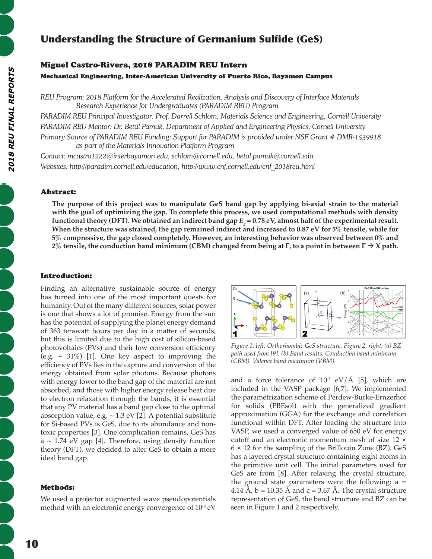# Understanding the Structure of Germanium Sulfide (GeS)

## Miguel Castro-Rivera, 2018 PARADIM REU Intern

Mechanical Engineering, Inter-American University of Puerto Rico, Bayamon Campus

*REU Program: 2018 Platform for the Accelerated Realization, Analysis and Discovery of Interface Materials Research Experience for Undergraduates (PARADIM REU) Program*

*PARADIM REU Principal Investigator: Prof. Darrell Schlom, Materials Science and Engineering, Cornell University PARADIM REU Mentor: Dr. Betül Pamuk, Department of Applied and Engineering Physics, Cornell University Primary Source of PARADIM REU Funding: Support for PARADIM is provided under NSF Grant # DMR-1539918 as part of the Materials Innovation Platform Program*

*Contact: mcastro1222@interbayamon.edu, schlom@cornell.edu, betul.pamuk@cornell.edu Websites: http://paradim.cornell.edu/education, http://www.cnf.cornell.edu/cnf\_2018reu.html*

### Abstract:

**The purpose of this project was to manipulate GeS band gap by applying bi-axial strain to the material with the goal of optimizing the gap. To complete this process, we used computational methods with density functional theory (DFT). We obtained an indirect band gap** *Eg*  **= 0.78 eV, almost half of the experimental result.**  When the structure was strained, the gap remained indirect and increased to 0.87 eV for 5% tensile, while for **5% compressive, the gap closed completely. However, an interesting behavior was observed between 0% and 2% tensile, the conduction band minimum (CBM) changed from being at Γ, to a point in between**  $\Gamma \rightarrow X$  **path.** 

## Introduction:

Finding an alternative sustainable source of energy has turned into one of the most important quests for humanity. Out of the many different sources, solar power is one that shows a lot of promise. Energy from the sun has the potential of supplying the planet energy demand of 363 terawatt hours per day in a matter of seconds, but this is limited due to the high cost of silicon-based photovoltaics (PVs) and their low conversion efficiency (e.g.  $\sim$  31%) [1]. One key aspect to improving the efficiency of PVs lies in the capture and conversion of the energy obtained from solar photons. Because photons with energy lower to the band gap of the material are not absorbed, and those with higher energy release heat due to electron relaxation through the bands, it is essential that any PV material has a band gap close to the optimal absorption value, e.g.  $\sim$  1.3 eV [2]. A potential substitute for Si-based PVs is GeS, due to its abundance and nontoxic properties [3]. One complication remains, GeS has  $a \sim 1.74$  eV gap [4]. Therefore, using density function theory (DFT), we decided to alter GeS to obtain a more ideal band gap.

#### Methods:

We used a projector augmented wave pseudopotentials method with an electronic energy convergence of 10<sup>-8</sup> eV



*Figure 1, left: Orthorhombic GeS structure. Figure 2, right: (a) BZ path used from [9]. (b) Band results. Conduction band minimum (CBM). Valence band maximum (VBM).*

and a force tolerance of  $10^{-3}$  eV/Å [5], which are included in the VASP package [6,7]. We implemented the parametrization scheme of Perdew-Burke-Ernzerhof for solids (PBEsol) with the generalized gradient approximation (GGA) for the exchange and correlation functional within DFT. After loading the structure into VASP, we used a converged value of 650 eV for energy cutoff and an electronic momentum mesh of size 12 ×  $6 \times 12$  for the sampling of the Brillouin Zone (BZ). GeS has a layered crystal structure containing eight atoms in the primitive unit cell. The initial parameters used for GeS are from [8]. After relaxing the crystal structure, the ground state parameters were the following:  $a =$ 4.14 Å,  $b = 10.35$  Å and  $c = 3.67$  Å. The crystal structure representation of GeS, the band structure and BZ can be seen in Figure 1 and 2 respectively.